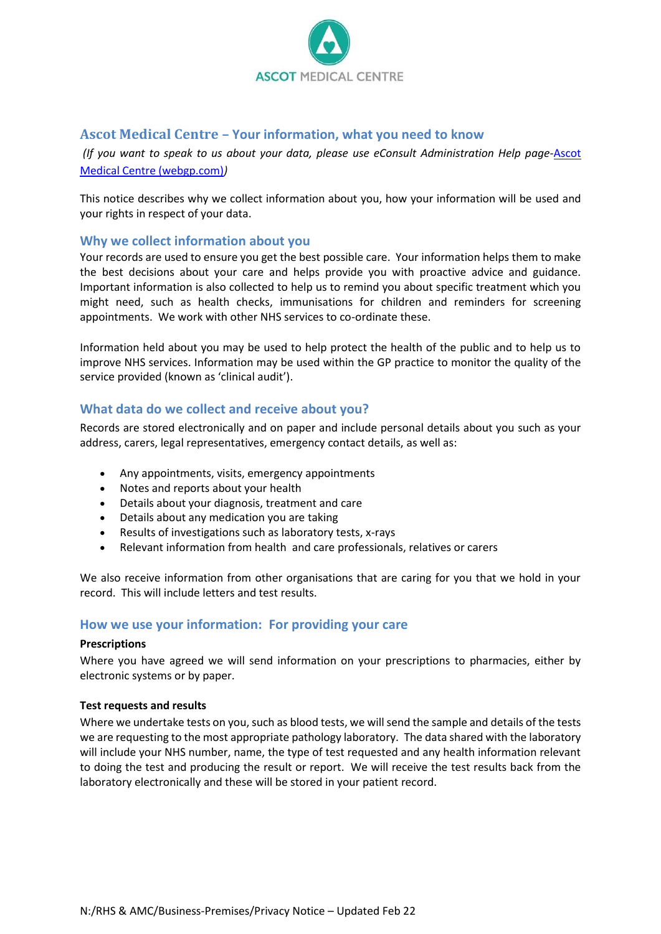

## **Ascot Medical Centre – Your information, what you need to know**

*(If you want to speak to us about your data, please use eConsult Administration Help page-*[Ascot](https://rhsamc.webgp.com/react-consult-administrative-help?codeName=GEC_ADM)  [Medical Centre \(webgp.com\)](https://rhsamc.webgp.com/react-consult-administrative-help?codeName=GEC_ADM)*)*

This notice describes why we collect information about you, how your information will be used and your rights in respect of your data.

## **Why we collect information about you**

Your records are used to ensure you get the best possible care. Your information helps them to make the best decisions about your care and helps provide you with proactive advice and guidance. Important information is also collected to help us to remind you about specific treatment which you might need, such as health checks, immunisations for children and reminders for screening appointments. We work with other NHS services to co-ordinate these.

Information held about you may be used to help protect the health of the public and to help us to improve NHS services. Information may be used within the GP practice to monitor the quality of the service provided (known as 'clinical audit').

## **What data do we collect and receive about you?**

Records are stored electronically and on paper and include personal details about you such as your address, carers, legal representatives, emergency contact details, as well as:

- Any appointments, visits, emergency appointments
- Notes and reports about your health
- Details about your diagnosis, treatment and care
- Details about any medication you are taking
- Results of investigations such as laboratory tests, x-rays
- Relevant information from health and care professionals, relatives or carers

We also receive information from other organisations that are caring for you that we hold in your record. This will include letters and test results.

## **How we use your information: For providing your care**

#### **Prescriptions**

Where you have agreed we will send information on your prescriptions to pharmacies, either by electronic systems or by paper.

### **Test requests and results**

Where we undertake tests on you, such as blood tests, we will send the sample and details of the tests we are requesting to the most appropriate pathology laboratory. The data shared with the laboratory will include your NHS number, name, the type of test requested and any health information relevant to doing the test and producing the result or report. We will receive the test results back from the laboratory electronically and these will be stored in your patient record.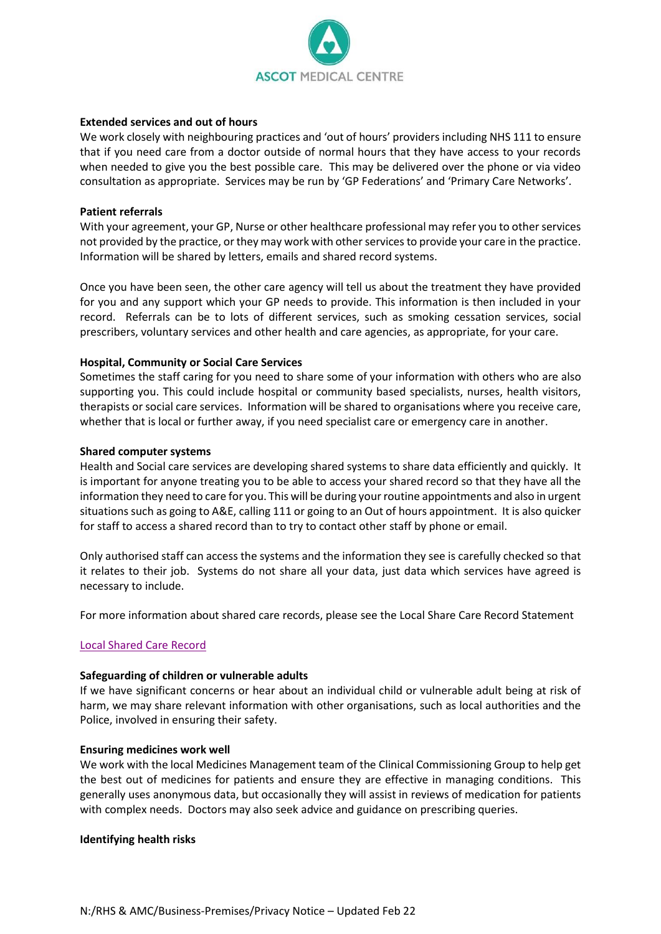

#### **Extended services and out of hours**

We work closely with neighbouring practices and 'out of hours' providers including NHS 111 to ensure that if you need care from a doctor outside of normal hours that they have access to your records when needed to give you the best possible care. This may be delivered over the phone or via video consultation as appropriate. Services may be run by 'GP Federations' and 'Primary Care Networks'.

#### **Patient referrals**

With your agreement, your GP, Nurse or other healthcare professional may refer you to other services not provided by the practice, or they may work with other services to provide your care in the practice. Information will be shared by letters, emails and shared record systems.

Once you have been seen, the other care agency will tell us about the treatment they have provided for you and any support which your GP needs to provide. This information is then included in your record. Referrals can be to lots of different services, such as smoking cessation services, social prescribers, voluntary services and other health and care agencies, as appropriate, for your care.

#### **Hospital, Community or Social Care Services**

Sometimes the staff caring for you need to share some of your information with others who are also supporting you. This could include hospital or community based specialists, nurses, health visitors, therapists or social care services. Information will be shared to organisations where you receive care, whether that is local or further away, if you need specialist care or emergency care in another.

#### **Shared computer systems**

Health and Social care services are developing shared systems to share data efficiently and quickly. It is important for anyone treating you to be able to access your shared record so that they have all the information they need to care for you. This will be during your routine appointments and also in urgent situations such as going to A&E, calling 111 or going to an Out of hours appointment. It is also quicker for staff to access a shared record than to try to contact other staff by phone or email.

Only authorised staff can access the systems and the information they see is carefully checked so that it relates to their job. Systems do not share all your data, just data which services have agreed is necessary to include.

For more information about shared care records, please see the Local Share Care Record Statement

### [Local Shared Care Record](Local%20Shared%20Care%20Record.docx)

#### **Safeguarding of children or vulnerable adults**

If we have significant concerns or hear about an individual child or vulnerable adult being at risk of harm, we may share relevant information with other organisations, such as local authorities and the Police, involved in ensuring their safety.

#### **Ensuring medicines work well**

We work with the local Medicines Management team of the Clinical Commissioning Group to help get the best out of medicines for patients and ensure they are effective in managing conditions. This generally uses anonymous data, but occasionally they will assist in reviews of medication for patients with complex needs. Doctors may also seek advice and guidance on prescribing queries.

#### **Identifying health risks**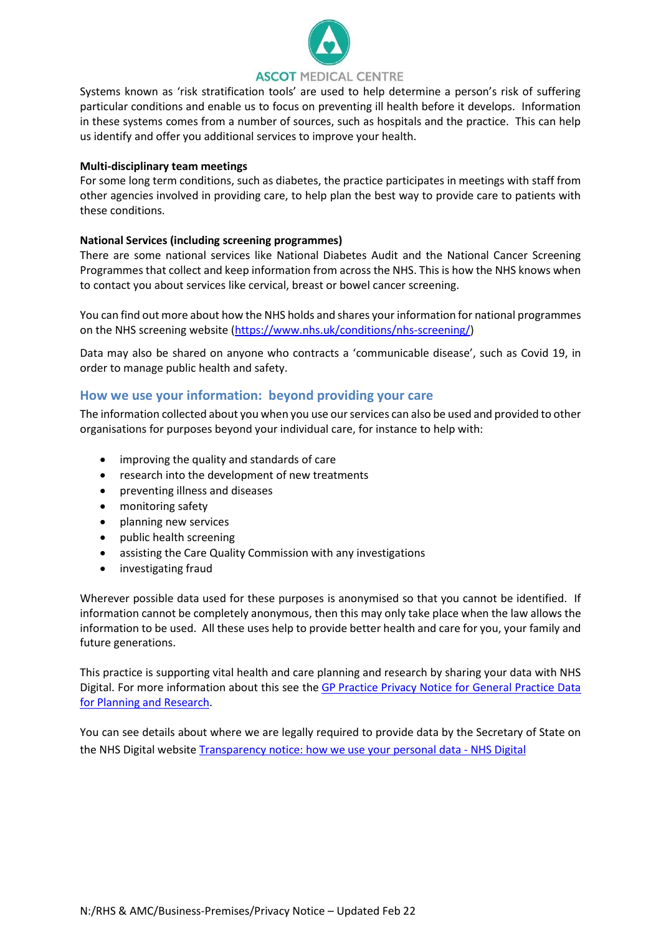

Systems known as 'risk stratification tools' are used to help determine a person's risk of suffering particular conditions and enable us to focus on preventing ill health before it develops. Information in these systems comes from a number of sources, such as hospitals and the practice. This can help us identify and offer you additional services to improve your health.

#### **Multi-disciplinary team meetings**

For some long term conditions, such as diabetes, the practice participates in meetings with staff from other agencies involved in providing care, to help plan the best way to provide care to patients with these conditions.

### **National Services (including screening programmes)**

There are some national services like National Diabetes Audit and the National Cancer Screening Programmes that collect and keep information from across the NHS. This is how the NHS knows when to contact you about services like cervical, breast or bowel cancer screening.

You can find out more about how the NHS holds and shares your information for national programmes on the NHS screening website [\(https://www.nhs.uk/conditions/nhs-screening/\)](https://www.nhs.uk/conditions/nhs-screening/)

Data may also be shared on anyone who contracts a 'communicable disease', such as Covid 19, in order to manage public health and safety.

### **How we use your information: beyond providing your care**

The information collected about you when you use ourservices can also be used and provided to other organisations for purposes beyond your individual care, for instance to help with:

- improving the quality and standards of care
- research into the development of new treatments
- preventing illness and diseases
- monitoring safety
- planning new services
- public health screening
- assisting the Care Quality Commission with any investigations
- investigating fraud

Wherever possible data used for these purposes is anonymised so that you cannot be identified. If information cannot be completely anonymous, then this may only take place when the law allows the information to be used. All these uses help to provide better health and care for you, your family and future generations.

This practice is supporting vital health and care planning and research by sharing your data with NHS Digital. For more information about this see the GP [Practice Privacy Notice for General Practice Data](https://digital.nhs.uk/data-and-information/data-collections-and-data-sets/data-collections/general-practice-data-for-planning-and-research/gp-privacy-notice)  [for Planning and Research.](https://digital.nhs.uk/data-and-information/data-collections-and-data-sets/data-collections/general-practice-data-for-planning-and-research/gp-privacy-notice)

You can see details about where we are legally required to provide data by the Secretary of State on the NHS Digital websit[e Transparency notice: how we use your personal data -](https://digital.nhs.uk/about-nhs-digital/our-work/keeping-patient-data-safe/gdpr/gdpr-register?_cldee=YmFsYmFoaWFAbmhzLm5ldA%3d%3d&recipientid=lead-ad3443b1db2feb11bf6f000d3a86b8d5-28acdadb42db492191f77009f1b5b8eb&esid=b5b9d61e-ab29-eb11-a813-000d3a87467d#p) NHS Digital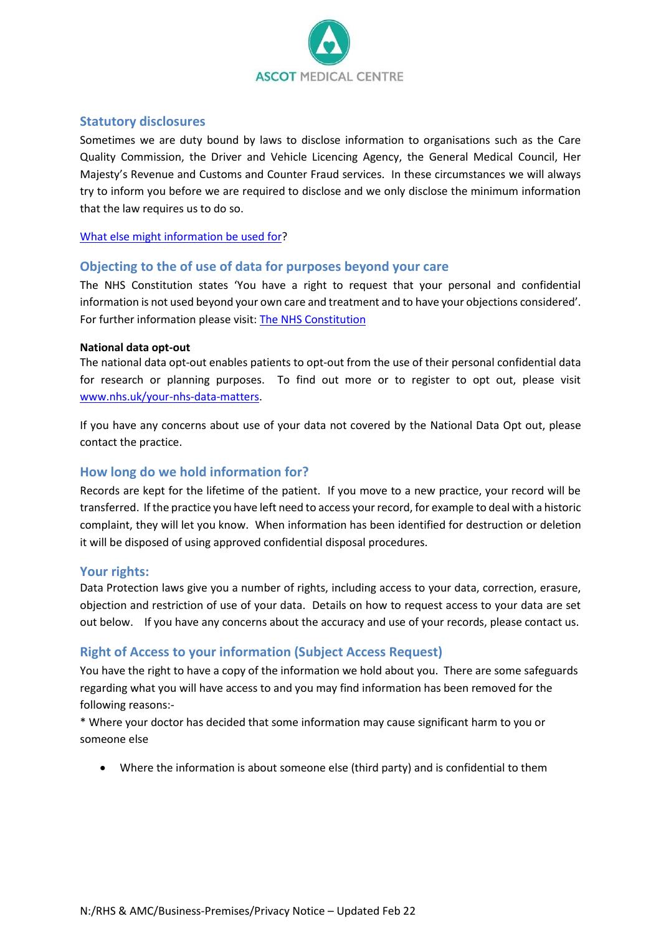

## **Statutory disclosures**

Sometimes we are duty bound by laws to disclose information to organisations such as the Care Quality Commission, the Driver and Vehicle Licencing Agency, the General Medical Council, Her Majesty's Revenue and Customs and Counter Fraud services. In these circumstances we will always try to inform you before we are required to disclose and we only disclose the minimum information that the law requires us to do so.

### [What else might information be used for?](The%20following%20table%20builds%20upon%20the%20information%20in%20our%20Fair%20Processing%20notice%20and%20is%20published%20to%20ensure%20transparency.docx)

## **Objecting to the of use of data for purposes beyond your care**

The NHS Constitution states 'You have a right to request that your personal and confidential information is not used beyond your own care and treatment and to have your objections considered'. For further information please visit: [The NHS Constitution](https://www.gov.uk/government/publications/the-nhs-constitution-for-england)

#### **National data opt-out**

The national data opt-out enables patients to opt-out from the use of their personal confidential data for research or planning purposes. To find out more or to register to opt out, please visit [www.nhs.uk/your-nhs-data-matters.](http://www.nhs.uk/your-nhs-data-matters)

If you have any concerns about use of your data not covered by the National Data Opt out, please contact the practice.

## **How long do we hold information for?**

Records are kept for the lifetime of the patient. If you move to a new practice, your record will be transferred. If the practice you have left need to access your record, for example to deal with a historic complaint, they will let you know. When information has been identified for destruction or deletion it will be disposed of using approved confidential disposal procedures.

## **Your rights:**

Data Protection laws give you a number of rights, including access to your data, correction, erasure, objection and restriction of use of your data. Details on how to request access to your data are set out below. If you have any concerns about the accuracy and use of your records, please contact us.

## **Right of Access to your information (Subject Access Request)**

You have the right to have a copy of the information we hold about you. There are some safeguards regarding what you will have access to and you may find information has been removed for the following reasons:-

\* Where your doctor has decided that some information may cause significant harm to you or someone else

• Where the information is about someone else (third party) and is confidential to them